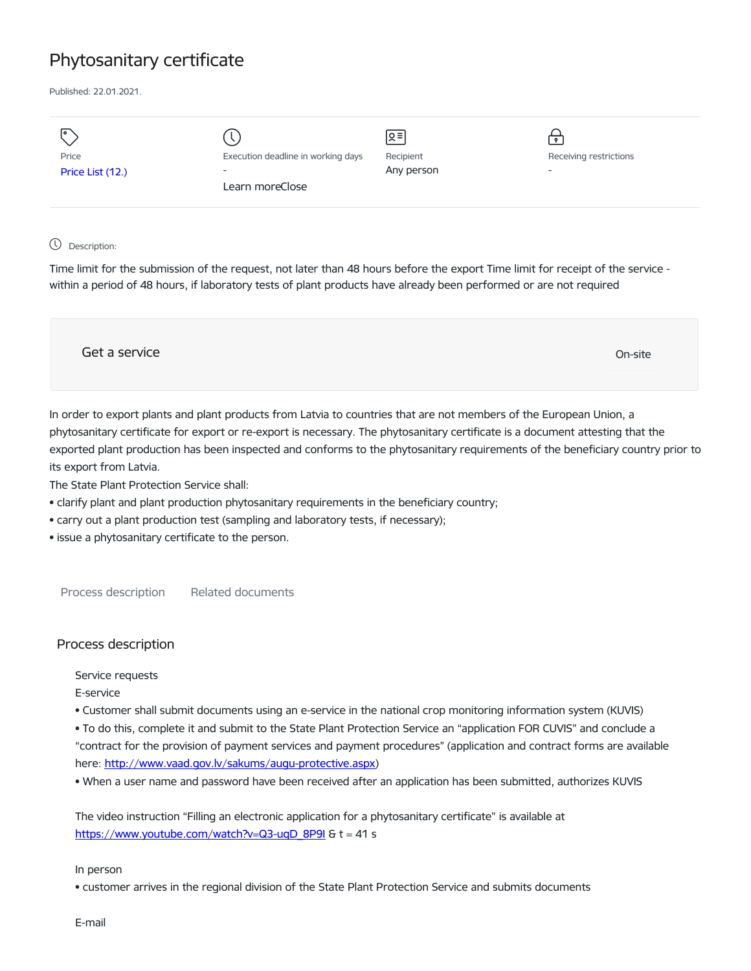## Phytosanitary certificate

Published: 22.01.2021.

| I۰<br>Price<br>Price List (12.) | Execution deadline in working days<br>$\overline{\phantom{0}}$<br>Learn moreClose | 의<br>Recipient<br>Any person | . ه.<br>Receiving restrictions<br>$\overline{\phantom{a}}$ |
|---------------------------------|-----------------------------------------------------------------------------------|------------------------------|------------------------------------------------------------|
|                                 |                                                                                   |                              |                                                            |
|                                 |                                                                                   |                              |                                                            |

## Description:

Time limit for the submission of the request, not later than 48 hours before the export Time limit for receipt of the service within a period of 48 hours, if laboratory tests of plant products have already been performed or are not required



In order to export plants and plant products from Latvia to countries that are not members of the European Union, a phytosanitary certificate for export or re-export is necessary. The phytosanitary certificate is a document attesting that the exported plant production has been inspected and conforms to the phytosanitary requirements of the beneficiary country prior to its export from Latvia.

The State Plant Protection Service shall:

- clarify plant and plant production phytosanitary requirements in the beneficiary country;
- carry out a plant production test (sampling and laboratory tests, if necessary);
- issue a phytosanitary certificate to the person.

Process description Related documents

## Process description

Service requests

- E-service
- Customer shall submit documents using an e-service in the national crop monitoring information system (KUVIS)

• To do this, complete it and submit to the State Plant Protection Service an "application FOR CUVIS" and conclude a "contract for the provision of payment services and payment procedures" (application and contract forms are available here: <http://www.vaad.gov.lv/sakums/augu-protective.aspx>)

• When a user name and password have been received after an application has been submitted, authorizes KUVIS

The video instruction "Filling an electronic application for a phytosanitary certificate" is available at [https://www.youtube.com/watch?v=Q3-uqD\\_8P9I](https://www.youtube.com/watch?v=Q3-uqD_8P9I) & t = 41 s

In person

• customer arrives in the regional division of the State Plant Protection Service and submits documents

E-mail